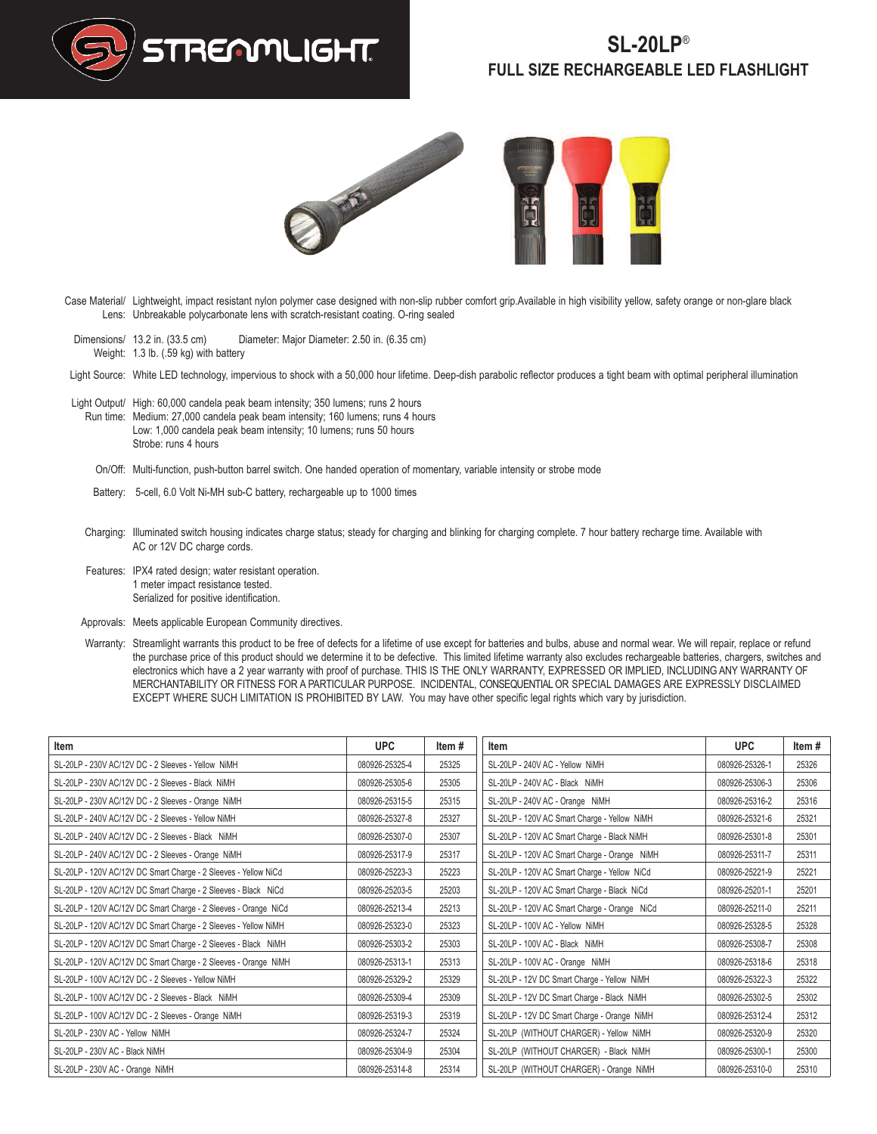

## **SL-20LP**® **FULL SIZE RECHARGEABLE LED FLASHLIGHT**





- Case Material/ Lightweight, impact resistant nylon polymer case designed with non-slip rubber comfort grip.Available in high visibility yellow, safety orange or non-glare black Lens: Unbreakable polycarbonate lens with scratch-resistant coating. O-ring sealed
- Dimensions/ 13.2 in. (33.5 cm) Weight: 1.3 lb. (.59 kg) with battery Diameter: Major Diameter: 2.50 in. (6.35 cm)
- Light Source: White LED technology, impervious to shock with a 50,000 hour lifetime. Deep-dish parabolic reflector produces a tight beam with optimal peripheral illumination
- Light Output/ High: 60,000 candela peak beam intensity; 350 lumens; runs 2 hours Run time: Medium: 27,000 candela peak beam intensity; 160 lumens; runs 4 hours Low: 1,000 candela peak beam intensity; 10 lumens; runs 50 hours Strobe: runs 4 hours
	- On/Off: Multi-function, push-button barrel switch. One handed operation of momentary, variable intensity or strobe mode
	- Battery: 5-cell, 6.0 Volt Ni-MH sub-C battery, rechargeable up to 1000 times
	- Charging: Illuminated switch housing indicates charge status; steady for charging and blinking for charging complete. 7 hour battery recharge time. Available with AC or 12V DC charge cords.
	- Features: IPX4 rated design; water resistant operation. 1 meter impact resistance tested. Serialized for positive identification.
	- Approvals: Meets applicable European Community directives.
- Warranty: Streamlight warrants this product to be free of defects for a lifetime of use except for batteries and bulbs, abuse and normal wear. We will repair, replace or refund the purchase price of this product should we determine it to be defective. This limited lifetime warranty also excludes rechargeable batteries, chargers, switches and electronics which have a 2 year warranty with proof of purchase. THIS IS THE ONLY WARRANTY, EXPRESSED OR IMPLIED, INCLUDING ANY WARRANTY OF MERCHANTABILITY OR FITNESS FOR A PARTICULAR PURPOSE. INCIDENTAL, CONSEQUENTIALOR SPECIAL DAMAGES ARE EXPRESSLY DISCLAIMED EXCEPT WHERE SUCH LIMITATION IS PROHIBITED BY LAW. You may have other specific legal rights which vary by jurisdiction.

| Item                                                            | UPC.           | Item# | Item                                         | <b>UPC</b>     | Item# |
|-----------------------------------------------------------------|----------------|-------|----------------------------------------------|----------------|-------|
| SL-20LP - 230V AC/12V DC - 2 Sleeves - Yellow NiMH              | 080926-25325-4 | 25325 | SL-20LP - 240V AC - Yellow NiMH              | 080926-25326-1 | 25326 |
| SL-20LP - 230V AC/12V DC - 2 Sleeves - Black NiMH               | 080926-25305-6 | 25305 | SL-20LP - 240V AC - Black NiMH               | 080926-25306-3 | 25306 |
| SL-20LP - 230V AC/12V DC - 2 Sleeves - Orange NiMH              | 080926-25315-5 | 25315 | SL-20LP - 240V AC - Orange NiMH              | 080926-25316-2 | 25316 |
| SL-20LP - 240V AC/12V DC - 2 Sleeves - Yellow NiMH              | 080926-25327-8 | 25327 | SL-20LP - 120V AC Smart Charge - Yellow NiMH | 080926-25321-6 | 25321 |
| SL-20LP - 240V AC/12V DC - 2 Sleeves - Black NiMH               | 080926-25307-0 | 25307 | SL-20LP - 120V AC Smart Charge - Black NiMH  | 080926-25301-8 | 25301 |
| SL-20LP - 240V AC/12V DC - 2 Sleeves - Orange NiMH              | 080926-25317-9 | 25317 | SL-20LP - 120V AC Smart Charge - Orange NiMH | 080926-25311-7 | 25311 |
| SL-20LP - 120V AC/12V DC Smart Charge - 2 Sleeves - Yellow NiCd | 080926-25223-3 | 25223 | SL-20LP - 120V AC Smart Charge - Yellow NiCd | 080926-25221-9 | 25221 |
| SL-20LP - 120V AC/12V DC Smart Charge - 2 Sleeves - Black NiCd  | 080926-25203-5 | 25203 | SL-20LP - 120V AC Smart Charge - Black NiCd  | 080926-25201-1 | 25201 |
| SL-20LP - 120V AC/12V DC Smart Charge - 2 Sleeves - Orange NiCd | 080926-25213-4 | 25213 | SL-20LP - 120V AC Smart Charge - Orange NiCd | 080926-25211-0 | 25211 |
| SL-20LP - 120V AC/12V DC Smart Charge - 2 Sleeves - Yellow NiMH | 080926-25323-0 | 25323 | SL-20LP - 100V AC - Yellow NiMH              | 080926-25328-5 | 25328 |
| SL-20LP - 120V AC/12V DC Smart Charge - 2 Sleeves - Black NiMH  | 080926-25303-2 | 25303 | SL-20LP - 100V AC - Black NiMH               | 080926-25308-7 | 25308 |
| SL-20LP - 120V AC/12V DC Smart Charge - 2 Sleeves - Orange NiMH | 080926-25313-1 | 25313 | SL-20LP - 100V AC - Orange NiMH              | 080926-25318-6 | 25318 |
| SL-20LP - 100V AC/12V DC - 2 Sleeves - Yellow NiMH              | 080926-25329-2 | 25329 | SL-20LP - 12V DC Smart Charge - Yellow NiMH  | 080926-25322-3 | 25322 |
| SL-20LP - 100V AC/12V DC - 2 Sleeves - Black NiMH               | 080926-25309-4 | 25309 | SL-20LP - 12V DC Smart Charge - Black NiMH   | 080926-25302-5 | 25302 |
| SL-20LP - 100V AC/12V DC - 2 Sleeves - Orange NiMH              | 080926-25319-3 | 25319 | SL-20LP - 12V DC Smart Charge - Orange NiMH  | 080926-25312-4 | 25312 |
| SL-20LP - 230V AC - Yellow NiMH                                 | 080926-25324-7 | 25324 | SL-20LP (WITHOUT CHARGER) - Yellow NiMH      | 080926-25320-9 | 25320 |
| SL-20LP - 230V AC - Black NiMH                                  | 080926-25304-9 | 25304 | SL-20LP (WITHOUT CHARGER) - Black NiMH       | 080926-25300-1 | 25300 |
| SL-20LP - 230V AC - Orange NiMH                                 | 080926-25314-8 | 25314 | SL-20LP (WITHOUT CHARGER) - Orange NiMH      | 080926-25310-0 | 25310 |